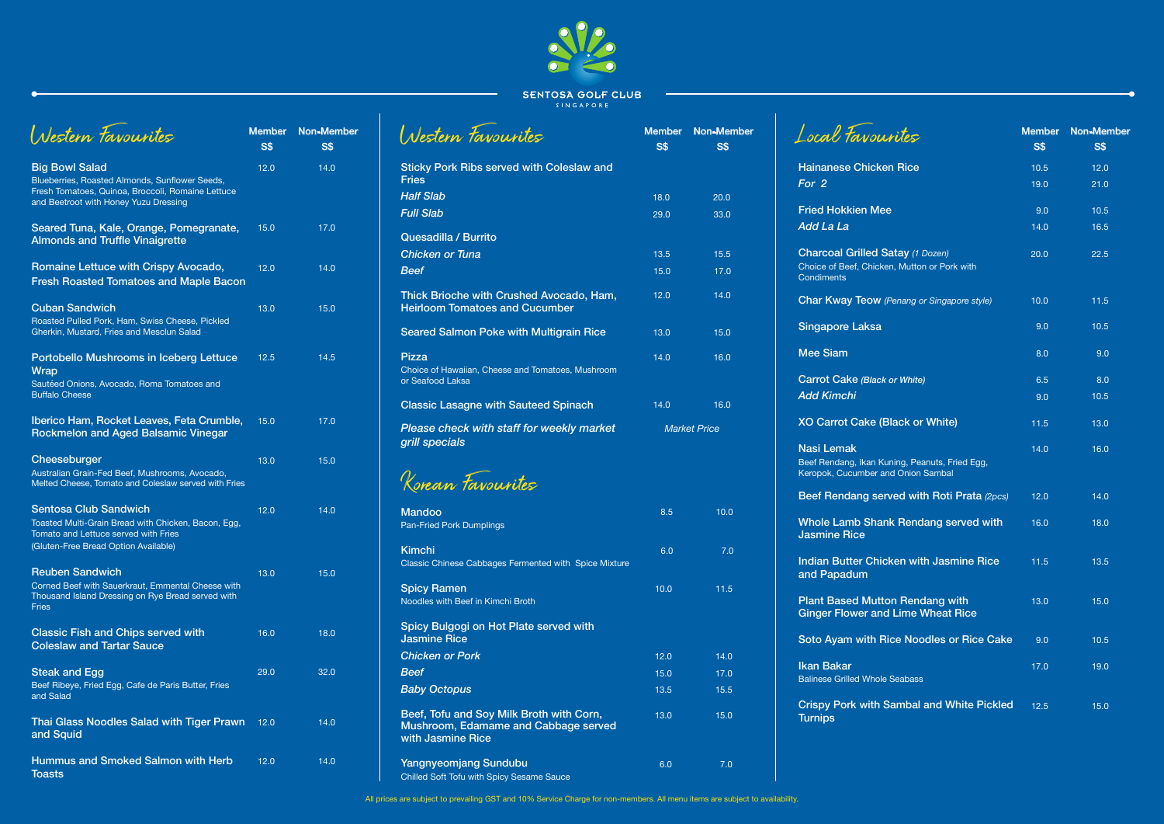

**SENTOSA GOLF CLUB** 

|                                                                                                                                                                       |      | S\$  |
|-----------------------------------------------------------------------------------------------------------------------------------------------------------------------|------|------|
| <b>Big Bowl Salad</b><br>Blueberries, Roasted Almonds, Sunflower Seeds,<br>Fresh Tomatoes, Quinoa, Broccoli, Romaine Lettuce<br>and Beetroot with Honey Yuzu Dressing | 12.0 | 14.0 |
| Seared Tuna, Kale, Orange, Pomegranate,<br><b>Almonds and Truffle Vinaigrette</b>                                                                                     | 15.0 | 17.0 |
| Romaine Lettuce with Crispy Avocado,<br><b>Fresh Roasted Tomatoes and Maple Bacon</b>                                                                                 | 12.0 | 14.0 |
| <b>Cuban Sandwich</b><br>Roasted Pulled Pork, Ham, Swiss Cheese, Pickled<br>Gherkin, Mustard, Fries and Mesclun Salad                                                 | 13.0 | 15.0 |
| <b>Portobello Mushrooms in Iceberg Lettuce</b><br><b>Wrap</b><br>Sautéed Onions, Avocado, Roma Tomatoes and<br><b>Buffalo Cheese</b>                                  | 12.5 | 14.5 |
| Iberico Ham, Rocket Leaves, Feta Crumble,<br><b>Rockmelon and Aged Balsamic Vinegar</b>                                                                               | 15.0 | 17.0 |
| Cheeseburger<br>Australian Grain-Fed Beef, Mushrooms, Avocado,<br>Melted Cheese, Tomato and Coleslaw served with Fries                                                | 13.0 | 15.0 |
| <b>Sentosa Club Sandwich</b><br>Toasted Multi-Grain Bread with Chicken, Bacon, Egg,<br>Tomato and Lettuce served with Fries<br>(Gluten-Free Bread Option Available)   | 12.0 | 14.0 |
| <b>Reuben Sandwich</b><br>Corned Beef with Sauerkraut, Emmental Cheese with<br>Thousand Island Dressing on Rye Bread served with<br><b>Fries</b>                      | 13.0 | 15.0 |
| <b>Classic Fish and Chips served with</b><br><b>Coleslaw and Tartar Sauce</b>                                                                                         | 16.0 | 18.0 |
| <b>Steak and Egg</b><br>Beef Ribeye, Fried Egg, Cafe de Paris Butter, Fries<br>and Salad                                                                              | 29.0 | 32.0 |
| Thai Glass Noodles Salad with Tiger Prawn<br>and Squid                                                                                                                | 12.0 | 14.0 |
| <b>Hummus and Smoked Salmon with Herb</b><br><b>Toasts</b>                                                                                                            | 12.0 | 14.0 |

**Char Kway Teow** 

**Beef Rendang set** 

Whole Lamb Sha Jasmine Rice

**Indian Butter Ch** and Papadum

**Plant Based Mut Ginger Flower and** 

Soto Ayam with

Ikan Bakar **Balinese Grilled Whole** 

**Crispy Pork with Turnips** 

| Nestern Favourites                                                                    | <b>Member</b><br><b>S\$</b> | Non-Member<br><b>S\$</b> |
|---------------------------------------------------------------------------------------|-----------------------------|--------------------------|
| <b>Sticky Pork Ribs served with Coleslaw and</b><br><b>Fries</b>                      |                             |                          |
| <b>Half Slab</b>                                                                      | 18.0                        | 20.0                     |
| <b>Full Slab</b>                                                                      | 29.0                        | 33.0                     |
| Quesadilla / Burrito                                                                  |                             |                          |
| <b>Chicken or Tuna</b>                                                                | 13.5                        | 15.5                     |
| <b>Beef</b>                                                                           | 15.0                        | 17.0                     |
| Thick Brioche with Crushed Avocado, Ham,<br><b>Heirloom Tomatoes and Cucumber</b>     | 12.0                        | 14.0                     |
| <b>Seared Salmon Poke with Multigrain Rice</b>                                        | 13.0                        | 15.0                     |
| <b>Pizza</b><br>Choice of Hawaiian, Cheese and Tomatoes, Mushroom<br>or Seafood Laksa | 14.0                        | 16.0                     |
| <b>Classic Lasagne with Sauteed Spinach</b>                                           | 14.0                        | 16.0                     |
| Please check with staff for weekly market<br>grill specials                           | <b>Market Price</b>         |                          |
| Korean Favourites                                                                     |                             |                          |
| <b>Mandoo</b><br><b>Pan-Fried Pork Dumplings</b>                                      | 8.5                         | 10.0                     |
|                                                                                       |                             |                          |

| Local Favourites                                                                                             | <b>Member</b><br><b>S\$</b> | <b>Non-Member</b><br>S\$ |
|--------------------------------------------------------------------------------------------------------------|-----------------------------|--------------------------|
| <b>Hainanese Chicken Rice</b>                                                                                | 10.5                        | 12.0                     |
| For 2                                                                                                        | 19.0                        | 21.0                     |
| <b>Fried Hokkien Mee</b>                                                                                     | 9.0                         | 10.5                     |
| Add La La                                                                                                    | 14.0                        | 16.5                     |
| <b>Charcoal Grilled Satay (1 Dozen)</b><br>Choice of Beef, Chicken, Mutton or Pork with<br><b>Condiments</b> | 20.0                        | 22.5                     |
| <b>Char Kway Teow</b> (Penang or Singapore style)                                                            | 10.0                        | 11.5                     |
| <b>Singapore Laksa</b>                                                                                       | 9.0                         | 10.5                     |
| <b>Mee Siam</b>                                                                                              | 8.0                         | 9.0                      |
| <b>Carrot Cake (Black or White)</b>                                                                          | 6.5                         | 8.0                      |
| <b>Add Kimchi</b>                                                                                            | 9.0                         | 10.5                     |
| <b>XO Carrot Cake (Black or White)</b>                                                                       | 11.5                        | 13.0                     |
| <b>Nasi Lemak</b><br>Beef Rendang, Ikan Kuning, Peanuts, Fried Egg,<br>Keropok, Cucumber and Onion Sambal    | 14.0                        | 16.0                     |
| Beef Rendang served with Roti Prata (2pcs)                                                                   | 12.0                        | 14.0                     |
| <b>Whole Lamb Shank Rendang served with</b><br><b>Jasmine Rice</b>                                           | 16.0                        | 18.0                     |
| <b>Indian Butter Chicken with Jasmine Rice</b><br>and Papadum                                                | 11.5                        | 13.5                     |
| <b>Plant Based Mutton Rendang with</b><br><b>Ginger Flower and Lime Wheat Rice</b>                           | 13.0                        | 15.0                     |
| Soto Ayam with Rice Noodles or Rice Cake                                                                     | 9.0                         | 10.5                     |
| <b>Ikan Bakar</b><br><b>Balinese Grilled Whole Seabass</b>                                                   | 17.0                        | 19.0                     |
| <b>Crispy Pork with Sambal and White Pickled</b>                                                             | 12.5                        | 15.0                     |

| Kimchi<br>Classic Chinese Cabbages Fermented with Spice Mixture                                       | 6.0  | 7.0  |
|-------------------------------------------------------------------------------------------------------|------|------|
| <b>Spicy Ramen</b><br>Noodles with Beef in Kimchi Broth                                               | 10.0 | 11.5 |
| Spicy Bulgogi on Hot Plate served with<br><b>Jasmine Rice</b>                                         |      |      |
| <b>Chicken or Pork</b>                                                                                | 12.0 | 14.0 |
| Beef                                                                                                  | 15.0 | 17.0 |
| <b>Baby Octopus</b>                                                                                   | 13.5 | 15.5 |
| Beef, Tofu and Soy Milk Broth with Corn,<br>Mushroom, Edamame and Cabbage served<br>with Jasmine Rice | 13.0 | 15.0 |
| <b>Yangnyeomjang Sundubu</b><br><b>Chilled Soft Tofu with Spicy Sesame Sauce</b>                      | 6.0  | 7.0  |

Local Favo